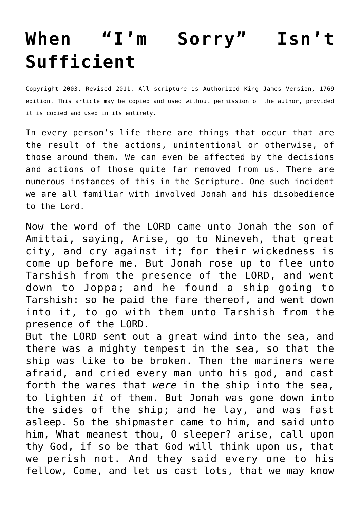## **[When "I'm Sorry" Isn't](http://reproachofmen.org/spiritualwar/when-im-sorry-isnt-sufficient/) [Sufficient](http://reproachofmen.org/spiritualwar/when-im-sorry-isnt-sufficient/)**

Copyright 2003. Revised 2011. All scripture is Authorized King James Version, 1769 edition. This article may be copied and used without permission of the author, provided it is copied and used in its entirety.

In every person's life there are things that occur that are the result of the actions, unintentional or otherwise, of those around them. We can even be affected by the decisions and actions of those quite far removed from us. There are numerous instances of this in the Scripture. One such incident we are all familiar with involved Jonah and his disobedience to the Lord.

Now the word of the LORD came unto Jonah the son of Amittai, saying, Arise, go to Nineveh, that great city, and cry against it; for their wickedness is come up before me. But Jonah rose up to flee unto Tarshish from the presence of the LORD, and went down to Joppa; and he found a ship going to Tarshish: so he paid the fare thereof, and went down into it, to go with them unto Tarshish from the presence of the LORD.

But the LORD sent out a great wind into the sea, and there was a mighty tempest in the sea, so that the ship was like to be broken. Then the mariners were afraid, and cried every man unto his god, and cast forth the wares that *were* in the ship into the sea, to lighten *it* of them. But Jonah was gone down into the sides of the ship; and he lay, and was fast asleep. So the shipmaster came to him, and said unto him, What meanest thou, O sleeper? arise, call upon thy God, if so be that God will think upon us, that we perish not. And they said every one to his fellow, Come, and let us cast lots, that we may know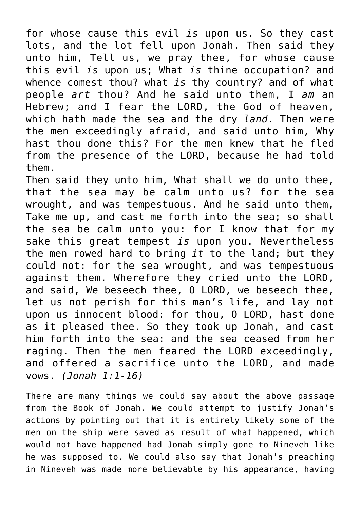for whose cause this evil *is* upon us. So they cast lots, and the lot fell upon Jonah. Then said they unto him, Tell us, we pray thee, for whose cause this evil *is* upon us; What *is* thine occupation? and whence comest thou? what *is* thy country? and of what people *art* thou? And he said unto them, I *am* an Hebrew; and I fear the LORD, the God of heaven, which hath made the sea and the dry *land*. Then were the men exceedingly afraid, and said unto him, Why hast thou done this? For the men knew that he fled from the presence of the LORD, because he had told them.

Then said they unto him, What shall we do unto thee, that the sea may be calm unto us? for the sea wrought, and was tempestuous. And he said unto them, Take me up, and cast me forth into the sea; so shall the sea be calm unto you: for I know that for my sake this great tempest *is* upon you. Nevertheless the men rowed hard to bring *it* to the land; but they could not: for the sea wrought, and was tempestuous against them. Wherefore they cried unto the LORD, and said, We beseech thee, O LORD, we beseech thee, let us not perish for this man's life, and lay not upon us innocent blood: for thou, O LORD, hast done as it pleased thee. So they took up Jonah, and cast him forth into the sea: and the sea ceased from her raging. Then the men feared the LORD exceedingly, and offered a sacrifice unto the LORD, and made vows. *(Jonah 1:1-16)*

There are many things we could say about the above passage from the Book of Jonah. We could attempt to justify Jonah's actions by pointing out that it is entirely likely some of the men on the ship were saved as result of what happened, which would not have happened had Jonah simply gone to Nineveh like he was supposed to. We could also say that Jonah's preaching in Nineveh was made more believable by his appearance, having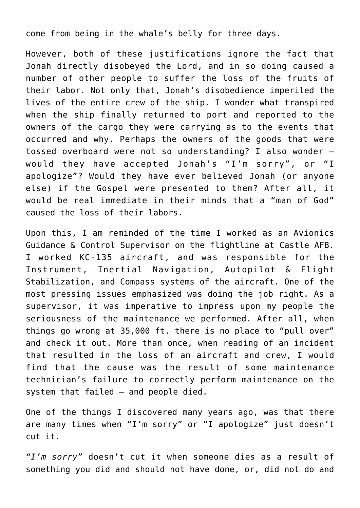come from being in the whale's belly for three days.

However, both of these justifications ignore the fact that Jonah directly disobeyed the Lord, and in so doing caused a number of other people to suffer the loss of the fruits of their labor. Not only that, Jonah's disobedience imperiled the lives of the entire crew of the ship. I wonder what transpired when the ship finally returned to port and reported to the owners of the cargo they were carrying as to the events that occurred and why. Perhaps the owners of the goods that were tossed overboard were not so understanding? I also wonder – would they have accepted Jonah's "I'm sorry", or "I apologize"? Would they have ever believed Jonah (or anyone else) if the Gospel were presented to them? After all, it would be real immediate in their minds that a "man of God" caused the loss of their labors.

Upon this, I am reminded of the time I worked as an Avionics Guidance & Control Supervisor on the flightline at Castle AFB. I worked KC-135 aircraft, and was responsible for the Instrument, Inertial Navigation, Autopilot & Flight Stabilization, and Compass systems of the aircraft. One of the most pressing issues emphasized was doing the job right. As a supervisor, it was imperative to impress upon my people the seriousness of the maintenance we performed. After all, when things go wrong at 35,000 ft. there is no place to "pull over" and check it out. More than once, when reading of an incident that resulted in the loss of an aircraft and crew, I would find that the cause was the result of some maintenance technician's failure to correctly perform maintenance on the system that failed — and people died.

One of the things I discovered many years ago, was that there are many times when "I'm sorry" or "I apologize" just doesn't cut it.

*"I'm sorry"* doesn't cut it when someone dies as a result of something you did and should not have done, or, did not do and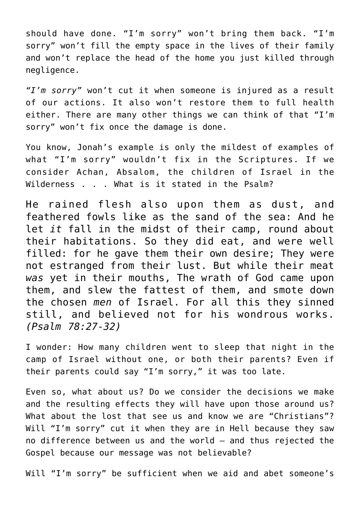should have done. "I'm sorry" won't bring them back. "I'm sorry" won't fill the empty space in the lives of their family and won't replace the head of the home you just killed through negligence.

*"I'm sorry"* won't cut it when someone is injured as a result of our actions. It also won't restore them to full health either. There are many other things we can think of that "I'm sorry" won't fix once the damage is done.

You know, Jonah's example is only the mildest of examples of what "I'm sorry" wouldn't fix in the Scriptures. If we consider Achan, Absalom, the children of Israel in the Wilderness . . . What is it stated in the Psalm?

He rained flesh also upon them as dust, and feathered fowls like as the sand of the sea: And he let *it* fall in the midst of their camp, round about their habitations. So they did eat, and were well filled: for he gave them their own desire; They were not estranged from their lust. But while their meat *was* yet in their mouths, The wrath of God came upon them, and slew the fattest of them, and smote down the chosen *men* of Israel. For all this they sinned still, and believed not for his wondrous works. *(Psalm 78:27-32)*

I wonder: How many children went to sleep that night in the camp of Israel without one, or both their parents? Even if their parents could say "I'm sorry," it was too late.

Even so, what about us? Do we consider the decisions we make and the resulting effects they will have upon those around us? What about the lost that see us and know we are "Christians"? Will "I'm sorry" cut it when they are in Hell because they saw no difference between us and the world — and thus rejected the Gospel because our message was not believable?

Will "I'm sorry" be sufficient when we aid and abet someone's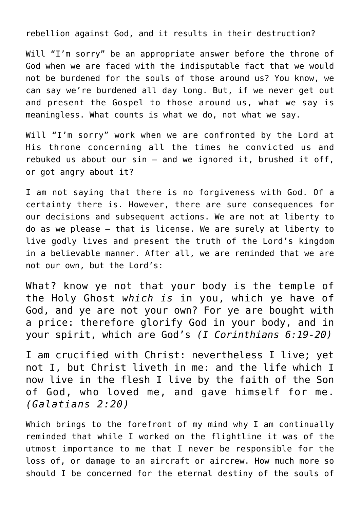rebellion against God, and it results in their destruction?

Will "I'm sorry" be an appropriate answer before the throne of God when we are faced with the indisputable fact that we would not be burdened for the souls of those around us? You know, we can say we're burdened all day long. But, if we never get out and present the Gospel to those around us, what we say is meaningless. What counts is what we do, not what we say.

Will "I'm sorry" work when we are confronted by the Lord at His throne concerning all the times he convicted us and rebuked us about our sin — and we ignored it, brushed it off, or got angry about it?

I am not saying that there is no forgiveness with God. Of a certainty there is. However, there are sure consequences for our decisions and subsequent actions. We are not at liberty to do as we please — that is license. We are surely at liberty to live godly lives and present the truth of the Lord's kingdom in a believable manner. After all, we are reminded that we are not our own, but the Lord's:

What? know ye not that your body is the temple of the Holy Ghost *which is* in you, which ye have of God, and ye are not your own? For ye are bought with a price: therefore glorify God in your body, and in your spirit, which are God's *(I Corinthians 6:19-20)*

I am crucified with Christ: nevertheless I live; yet not I, but Christ liveth in me: and the life which I now live in the flesh I live by the faith of the Son of God, who loved me, and gave himself for me. *(Galatians 2:20)*

Which brings to the forefront of my mind why I am continually reminded that while I worked on the flightline it was of the utmost importance to me that I never be responsible for the loss of, or damage to an aircraft or aircrew. How much more so should I be concerned for the eternal destiny of the souls of